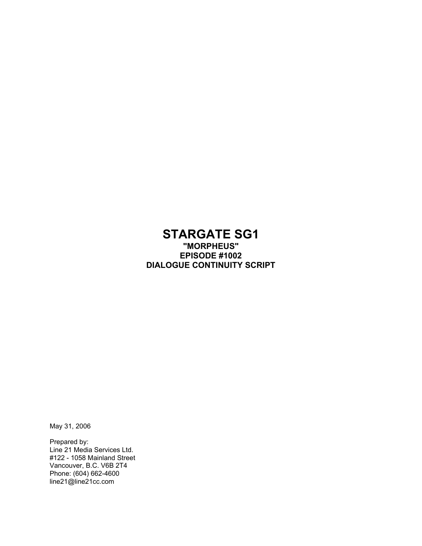# **STARGATE SG1 "MORPHEUS" EPISODE #1002 DIALOGUE CONTINUITY SCRIPT**

May 31, 2006

Prepared by: Line 21 Media Services Ltd. #122 - 1058 Mainland Street Vancouver, B.C. V6B 2T4 Phone: (604) 662-4600 line21@line21cc.com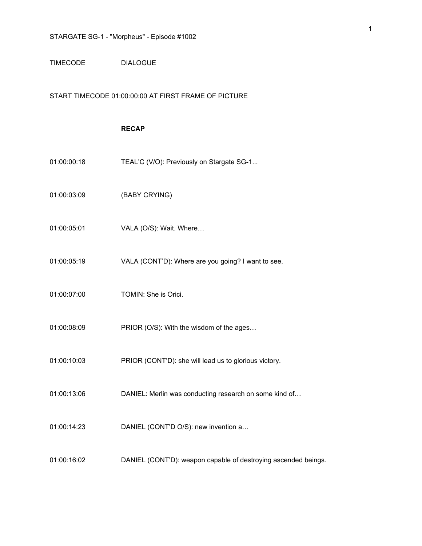#### TIMECODE DIALOGUE

START TIMECODE 01:00:00:00 AT FIRST FRAME OF PICTURE

#### **RECAP**

- 01:00:00:18 TEAL'C (V/O): Previously on Stargate SG-1...
- 01:00:03:09 (BABY CRYING)
- 01:00:05:01 VALA (O/S): Wait. Where...
- 01:00:05:19 VALA (CONT'D): Where are you going? I want to see.
- 01:00:07:00 TOMIN: She is Orici.
- 01:00:08:09 PRIOR (O/S): With the wisdom of the ages...
- 01:00:10:03 PRIOR (CONT'D): she will lead us to glorious victory.
- 01:00:13:06 DANIEL: Merlin was conducting research on some kind of…
- 01:00:14:23 DANIEL (CONT'D O/S): new invention a…
- 01:00:16:02 DANIEL (CONT'D): weapon capable of destroying ascended beings.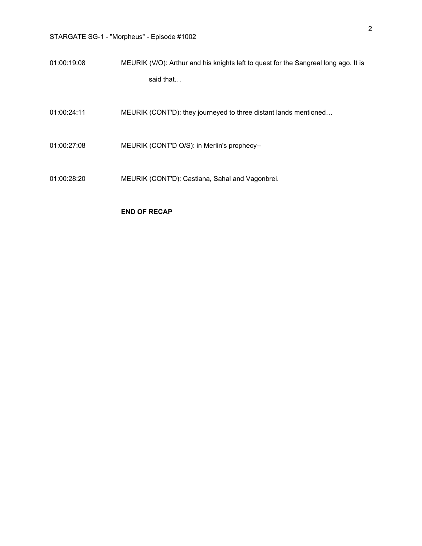01:00:19:08 MEURIK (V/O): Arthur and his knights left to quest for the Sangreal long ago. It is said that…

01:00:24:11 MEURIK (CONT'D): they journeyed to three distant lands mentioned…

- 01:00:27:08 MEURIK (CONT'D O/S): in Merlin's prophecy--
- 01:00:28:20 MEURIK (CONT'D): Castiana, Sahal and Vagonbrei.

#### **END OF RECAP**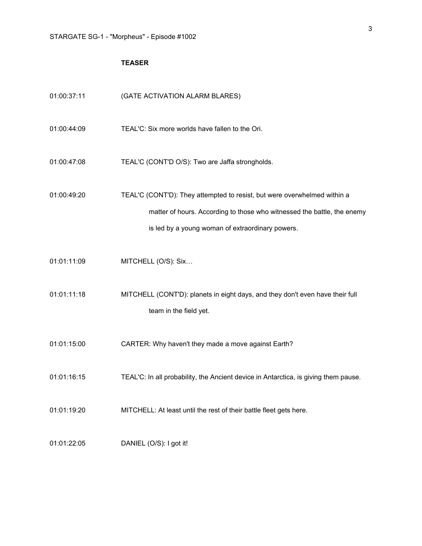## **TEASER**

| 01:00:37:11 | (GATE ACTIVATION ALARM BLARES)                                                                                                                                                                          |
|-------------|---------------------------------------------------------------------------------------------------------------------------------------------------------------------------------------------------------|
| 01:00:44:09 | TEAL'C: Six more worlds have fallen to the Ori.                                                                                                                                                         |
| 01:00:47:08 | TEAL'C (CONT'D O/S): Two are Jaffa strongholds.                                                                                                                                                         |
| 01:00:49:20 | TEAL'C (CONT'D): They attempted to resist, but were overwhelmed within a<br>matter of hours. According to those who witnessed the battle, the enemy<br>is led by a young woman of extraordinary powers. |
| 01:01:11:09 | MITCHELL (O/S): Six                                                                                                                                                                                     |
| 01:01:11:18 | MITCHELL (CONT'D): planets in eight days, and they don't even have their full<br>team in the field yet.                                                                                                 |
| 01:01:15:00 | CARTER: Why haven't they made a move against Earth?                                                                                                                                                     |
| 01:01:16:15 | TEAL'C: In all probability, the Ancient device in Antarctica, is giving them pause.                                                                                                                     |
| 01:01:19:20 | MITCHELL: At least until the rest of their battle fleet gets here.                                                                                                                                      |
| 01:01:22:05 | DANIEL (O/S): I got it!                                                                                                                                                                                 |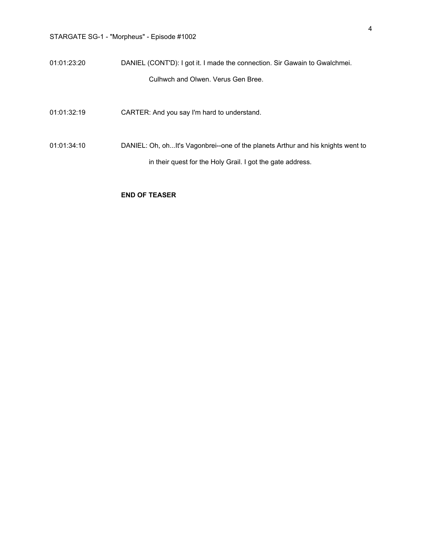01:01:23:20 DANIEL (CONT'D): I got it. I made the connection. Sir Gawain to Gwalchmei. Culhwch and Olwen. Verus Gen Bree.

01:01:32:19 CARTER: And you say I'm hard to understand.

01:01:34:10 DANIEL: Oh, oh...It's Vagonbrei--one of the planets Arthur and his knights went to in their quest for the Holy Grail. I got the gate address.

#### **END OF TEASER**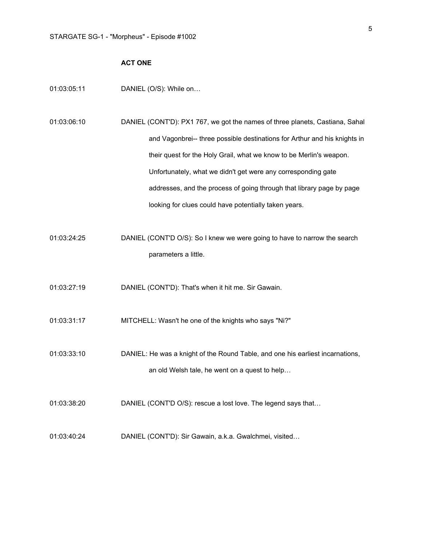### **ACT ONE**

- 01:03:05:11 DANIEL (O/S): While on...
- 01:03:06:10 DANIEL (CONT'D): PX1 767, we got the names of three planets, Castiana, Sahal and Vagonbrei-- three possible destinations for Arthur and his knights in their quest for the Holy Grail, what we know to be Merlin's weapon. Unfortunately, what we didn't get were any corresponding gate addresses, and the process of going through that library page by page looking for clues could have potentially taken years.
- 01:03:24:25 DANIEL (CONT'D O/S): So I knew we were going to have to narrow the search parameters a little.
- 01:03:27:19 DANIEL (CONT'D): That's when it hit me. Sir Gawain.
- 01:03:31:17 MITCHELL: Wasn't he one of the knights who says "Ni?"
- 01:03:33:10 DANIEL: He was a knight of the Round Table, and one his earliest incarnations, an old Welsh tale, he went on a quest to help…
- 01:03:38:20 DANIEL (CONT'D O/S): rescue a lost love. The legend says that…
- 01:03:40:24 DANIEL (CONT'D): Sir Gawain, a.k.a. Gwalchmei, visited…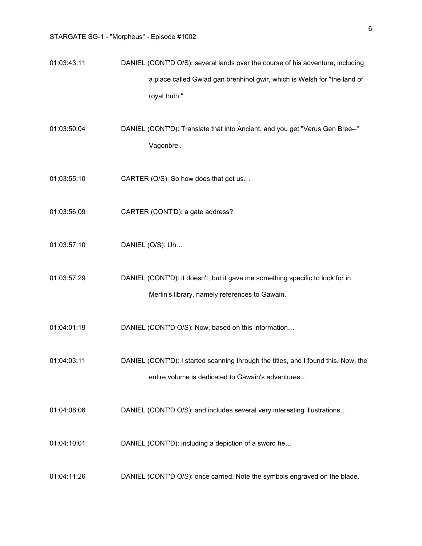- 01:03:43:11 DANIEL (CONT'D O/S): several lands over the course of his adventure, including a place called Gwlad gan brenhinol gwir, which is Welsh for "the land of royal truth."
- 01:03:50:04 DANIEL (CONT'D): Translate that into Ancient, and you get "Verus Gen Bree--" Vagonbrei.
- 01:03:55:10 CARTER (O/S): So how does that get us…
- 01:03:56:09 CARTER (CONT'D): a gate address?
- 01:03:57:10 DANIEL (O/S): Uh…
- 01:03:57:29 DANIEL (CONT'D): it doesn't, but it gave me something specific to look for in Merlin's library, namely references to Gawain.
- 01:04:01:19 DANIEL (CONT'D O/S): Now, based on this information…
- 01:04:03:11 DANIEL (CONT'D): I started scanning through the titles, and I found this. Now, the entire volume is dedicated to Gawain's adventures…
- 01:04:08:06 DANIEL (CONT'D O/S): and includes several very interesting illustrations…
- 01:04:10:01 DANIEL (CONT'D): including a depiction of a sword he...
- 01:04:11:26 DANIEL (CONT'D O/S): once carried. Note the symbols engraved on the blade.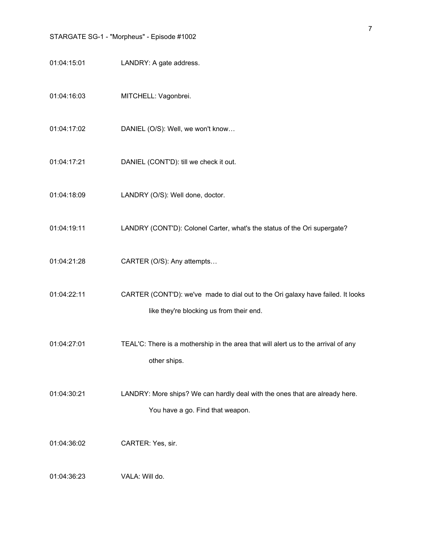- 01:04:15:01 LANDRY: A gate address.
- 01:04:16:03 MITCHELL: Vagonbrei.
- 01:04:17:02 DANIEL (O/S): Well, we won't know…
- 01:04:17:21 DANIEL (CONT'D): till we check it out.
- 01:04:18:09 LANDRY (O/S): Well done, doctor.
- 01:04:19:11 LANDRY (CONT'D): Colonel Carter, what's the status of the Ori supergate?
- 01:04:21:28 **CARTER (O/S): Any attempts...**
- 01:04:22:11 CARTER (CONT'D): we've made to dial out to the Ori galaxy have failed. It looks like they're blocking us from their end.
- 01:04:27:01 TEAL'C: There is a mothership in the area that will alert us to the arrival of any other ships.
- 01:04:30:21 LANDRY: More ships? We can hardly deal with the ones that are already here. You have a go. Find that weapon.
- 01:04:36:02 CARTER: Yes, sir.

01:04:36:23 VALA: Will do.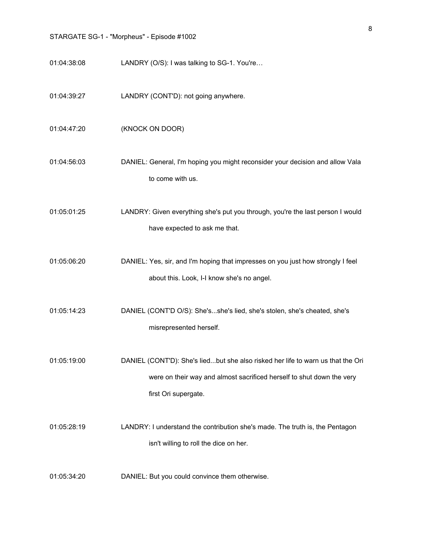- 01:04:38:08 LANDRY (O/S): I was talking to SG-1. You're...
- 01:04:39:27 LANDRY (CONT'D): not going anywhere.
- 01:04:47:20 (KNOCK ON DOOR)

01:04:56:03 DANIEL: General, I'm hoping you might reconsider your decision and allow Vala to come with us.

01:05:01:25 LANDRY: Given everything she's put you through, you're the last person I would have expected to ask me that.

01:05:06:20 DANIEL: Yes, sir, and I'm hoping that impresses on you just how strongly I feel about this. Look, I-I know she's no angel.

01:05:14:23 DANIEL (CONT'D O/S): She's...she's lied, she's stolen, she's cheated, she's misrepresented herself.

01:05:19:00 DANIEL (CONT'D): She's lied...but she also risked her life to warn us that the Ori were on their way and almost sacrificed herself to shut down the very first Ori supergate.

01:05:28:19 LANDRY: I understand the contribution she's made. The truth is, the Pentagon isn't willing to roll the dice on her.

01:05:34:20 DANIEL: But you could convince them otherwise.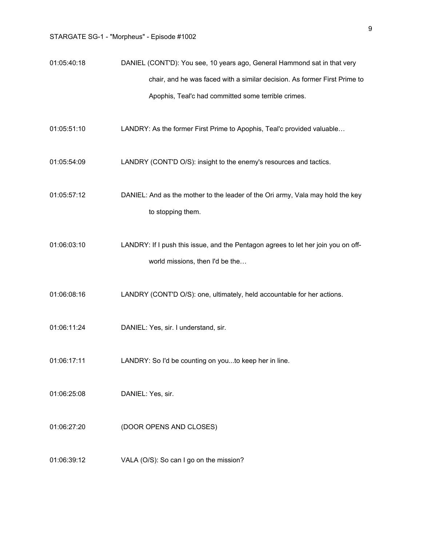- 01:05:40:18 DANIEL (CONT'D): You see, 10 years ago, General Hammond sat in that very chair, and he was faced with a similar decision. As former First Prime to Apophis, Teal'c had committed some terrible crimes.
- 01:05:51:10 LANDRY: As the former First Prime to Apophis, Teal'c provided valuable…
- 01:05:54:09 LANDRY (CONT'D O/S): insight to the enemy's resources and tactics.
- 01:05:57:12 DANIEL: And as the mother to the leader of the Ori army, Vala may hold the key to stopping them.
- 01:06:03:10 LANDRY: If I push this issue, and the Pentagon agrees to let her join you on offworld missions, then I'd be the…
- 01:06:08:16 LANDRY (CONT'D O/S): one, ultimately, held accountable for her actions.
- 01:06:11:24 DANIEL: Yes, sir. I understand, sir.
- 01:06:17:11 LANDRY: So I'd be counting on you...to keep her in line.
- 01:06:25:08 DANIEL: Yes, sir.
- 01:06:27:20 (DOOR OPENS AND CLOSES)
- 01:06:39:12 VALA (O/S): So can I go on the mission?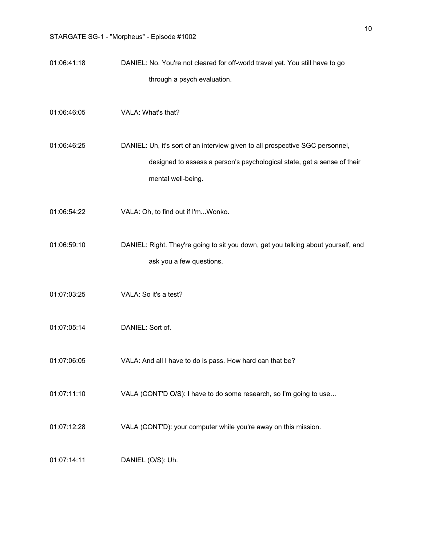01:06:41:18 DANIEL: No. You're not cleared for off-world travel yet. You still have to go through a psych evaluation.

01:06:46:05 VALA: What's that?

01:06:46:25 DANIEL: Uh, it's sort of an interview given to all prospective SGC personnel, designed to assess a person's psychological state, get a sense of their mental well-being.

01:06:54:22 VALA: Oh, to find out if I'm...Wonko.

01:06:59:10 DANIEL: Right. They're going to sit you down, get you talking about yourself, and ask you a few questions.

- 01:07:03:25 VALA: So it's a test?
- 01:07:05:14 DANIEL: Sort of.

01:07:06:05 VALA: And all I have to do is pass. How hard can that be?

- 01:07:11:10 VALA (CONT'D O/S): I have to do some research, so I'm going to use…
- 01:07:12:28 VALA (CONT'D): your computer while you're away on this mission.

01:07:14:11 DANIEL (O/S): Uh.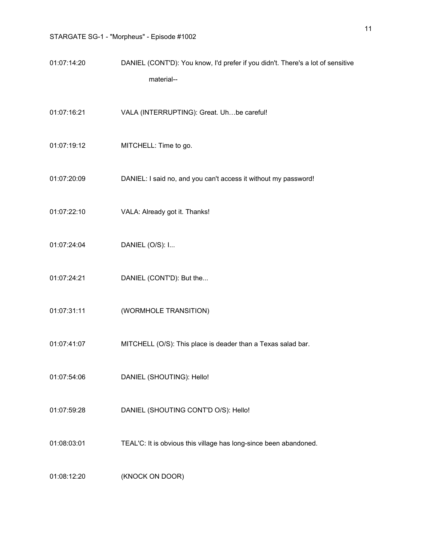| 01:07:14:20 | DANIEL (CONT'D): You know, I'd prefer if you didn't. There's a lot of sensitive |
|-------------|---------------------------------------------------------------------------------|
|             | material--                                                                      |

01:07:16:21 VALA (INTERRUPTING): Great. Uh…be careful!

- 01:07:19:12 MITCHELL: Time to go.
- 01:07:20:09 DANIEL: I said no, and you can't access it without my password!
- 01:07:22:10 VALA: Already got it. Thanks!
- 01:07:24:04 DANIEL (O/S): I...
- 01:07:24:21 DANIEL (CONT'D): But the...
- 01:07:31:11 (WORMHOLE TRANSITION)
- 01:07:41:07 MITCHELL (O/S): This place is deader than a Texas salad bar.
- 01:07:54:06 DANIEL (SHOUTING): Hello!
- 01:07:59:28 DANIEL (SHOUTING CONT'D O/S): Hello!
- 01:08:03:01 TEAL'C: It is obvious this village has long-since been abandoned.
- 01:08:12:20 (KNOCK ON DOOR)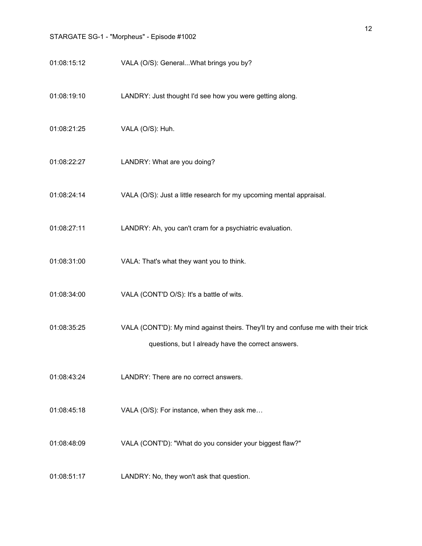#### STARGATE SG-1 - "Morpheus" - Episode #1002

- 01:08:15:12 VALA (O/S): General...What brings you by?
- 01:08:19:10 LANDRY: Just thought I'd see how you were getting along.
- 01:08:21:25 VALA (O/S): Huh.
- 01:08:22:27 LANDRY: What are you doing?
- 01:08:24:14 VALA (O/S): Just a little research for my upcoming mental appraisal.
- 01:08:27:11 LANDRY: Ah, you can't cram for a psychiatric evaluation.
- 01:08:31:00 VALA: That's what they want you to think.
- 01:08:34:00 VALA (CONT'D O/S): It's a battle of wits.
- 01:08:35:25 VALA (CONT'D): My mind against theirs. They'll try and confuse me with their trick questions, but I already have the correct answers.
- 01:08:43:24 LANDRY: There are no correct answers.
- 01:08:45:18 VALA (O/S): For instance, when they ask me...
- 01:08:48:09 VALA (CONT'D): "What do you consider your biggest flaw?"
- 01:08:51:17 LANDRY: No, they won't ask that question.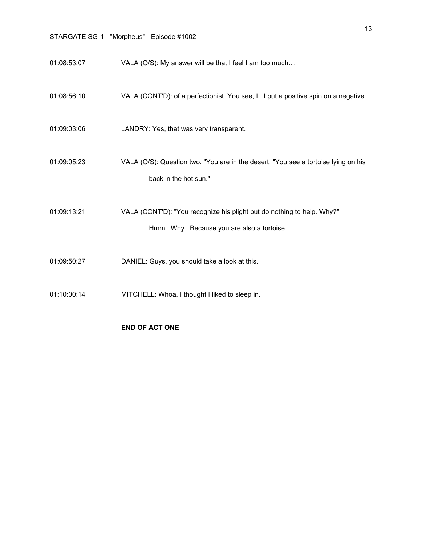01:08:53:07 VALA (O/S): My answer will be that I feel I am too much…

01:08:56:10 VALA (CONT'D): of a perfectionist. You see, I...I put a positive spin on a negative.

01:09:03:06 LANDRY: Yes, that was very transparent.

01:09:05:23 VALA (O/S): Question two. "You are in the desert. "You see a tortoise lying on his back in the hot sun."

01:09:13:21 VALA (CONT'D): "You recognize his plight but do nothing to help. Why?" Hmm...Why...Because you are also a tortoise.

01:09:50:27 DANIEL: Guys, you should take a look at this.

01:10:00:14 MITCHELL: Whoa. I thought I liked to sleep in.

### **END OF ACT ONE**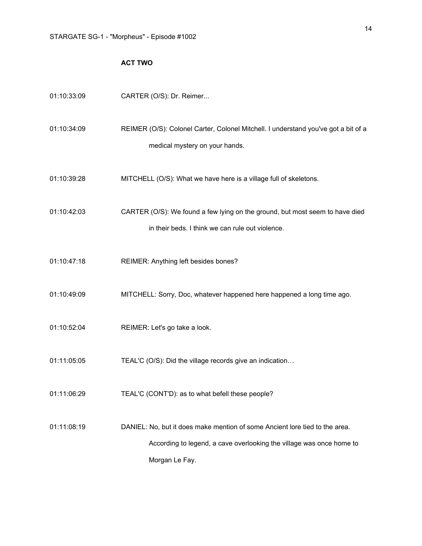## **ACT TWO**

| 01:10:33:09 | CARTER (O/S): Dr. Reimer                                                                                                                                              |
|-------------|-----------------------------------------------------------------------------------------------------------------------------------------------------------------------|
| 01:10:34:09 | REIMER (O/S): Colonel Carter, Colonel Mitchell. I understand you've got a bit of a<br>medical mystery on your hands.                                                  |
| 01:10:39:28 | MITCHELL (O/S): What we have here is a village full of skeletons.                                                                                                     |
| 01:10:42:03 | CARTER (O/S): We found a few lying on the ground, but most seem to have died<br>in their beds. I think we can rule out violence.                                      |
| 01:10:47:18 | REIMER: Anything left besides bones?                                                                                                                                  |
| 01:10:49:09 | MITCHELL: Sorry, Doc, whatever happened here happened a long time ago.                                                                                                |
| 01:10:52:04 | REIMER: Let's go take a look.                                                                                                                                         |
| 01:11:05:05 | TEAL'C (O/S): Did the village records give an indication                                                                                                              |
| 01:11:06:29 | TEAL'C (CONT'D): as to what befell these people?                                                                                                                      |
| 01:11:08:19 | DANIEL: No, but it does make mention of some Ancient lore tied to the area.<br>According to legend, a cave overlooking the village was once home to<br>Morgan Le Fay. |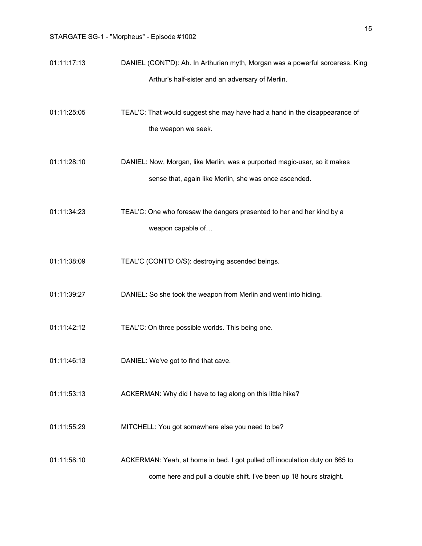- 01:11:17:13 DANIEL (CONT'D): Ah. In Arthurian myth, Morgan was a powerful sorceress. King Arthur's half-sister and an adversary of Merlin.
- 01:11:25:05 TEAL'C: That would suggest she may have had a hand in the disappearance of the weapon we seek.
- 01:11:28:10 DANIEL: Now, Morgan, like Merlin, was a purported magic-user, so it makes sense that, again like Merlin, she was once ascended.
- 01:11:34:23 TEAL'C: One who foresaw the dangers presented to her and her kind by a weapon capable of…
- 01:11:38:09 TEAL'C (CONT'D O/S): destroying ascended beings.
- 01:11:39:27 DANIEL: So she took the weapon from Merlin and went into hiding.
- 01:11:42:12 TEAL'C: On three possible worlds. This being one.
- 01:11:46:13 DANIEL: We've got to find that cave.
- 01:11:53:13 ACKERMAN: Why did I have to tag along on this little hike?
- 01:11:55:29 MITCHELL: You got somewhere else you need to be?
- 01:11:58:10 ACKERMAN: Yeah, at home in bed. I got pulled off inoculation duty on 865 to come here and pull a double shift. I've been up 18 hours straight.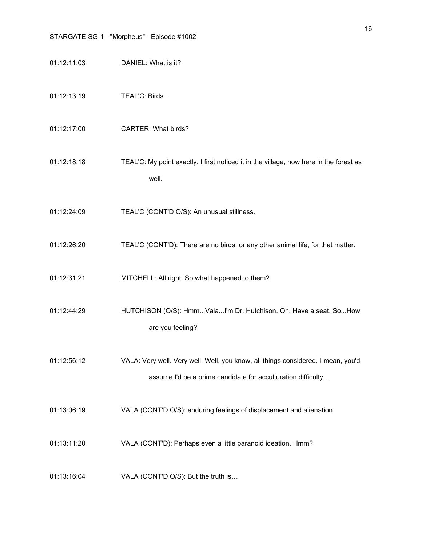| STARGATE SG-1 - "Morpheus" - Episode #1002 |                                                                                                                                                  |  |
|--------------------------------------------|--------------------------------------------------------------------------------------------------------------------------------------------------|--|
| 01:12:11:03                                | DANIEL: What is it?                                                                                                                              |  |
| 01:12:13:19                                | TEAL'C: Birds                                                                                                                                    |  |
| 01:12:17:00                                | <b>CARTER: What birds?</b>                                                                                                                       |  |
| 01:12:18:18                                | TEAL'C: My point exactly. I first noticed it in the village, now here in the forest as<br>well.                                                  |  |
| 01:12:24:09                                | TEAL'C (CONT'D O/S): An unusual stillness.                                                                                                       |  |
| 01:12:26:20                                | TEAL'C (CONT'D): There are no birds, or any other animal life, for that matter.                                                                  |  |
| 01:12:31:21                                | MITCHELL: All right. So what happened to them?                                                                                                   |  |
| 01:12:44:29                                | HUTCHISON (O/S): HmmValaI'm Dr. Hutchison. Oh. Have a seat. SoHow<br>are you feeling?                                                            |  |
| 01:12:56:12                                | VALA: Very well. Very well. Well, you know, all things considered. I mean, you'd<br>assume I'd be a prime candidate for acculturation difficulty |  |
| 01:13:06:19                                | VALA (CONT'D O/S): enduring feelings of displacement and alienation.                                                                             |  |
| 01:13:11:20                                | VALA (CONT'D): Perhaps even a little paranoid ideation. Hmm?                                                                                     |  |
| 01:13:16:04                                | VALA (CONT'D O/S): But the truth is                                                                                                              |  |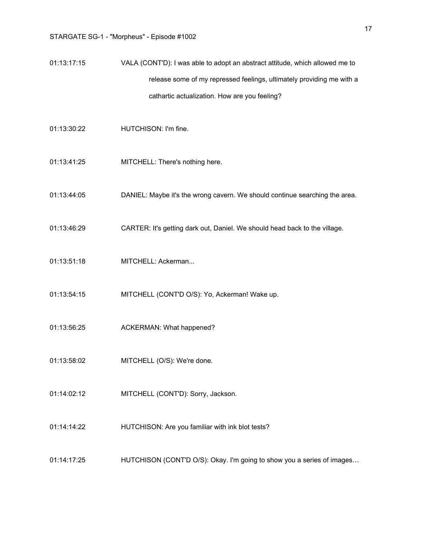- 01:13:17:15 VALA (CONT'D): I was able to adopt an abstract attitude, which allowed me to release some of my repressed feelings, ultimately providing me with a cathartic actualization. How are you feeling?
- 01:13:30:22 HUTCHISON: I'm fine.
- 01:13:41:25 MITCHELL: There's nothing here.
- 01:13:44:05 DANIEL: Maybe it's the wrong cavern. We should continue searching the area.
- 01:13:46:29 CARTER: It's getting dark out, Daniel. We should head back to the village.
- 01:13:51:18 MITCHELL: Ackerman...
- 01:13:54:15 MITCHELL (CONT'D O/S): Yo, Ackerman! Wake up.
- 01:13:56:25 ACKERMAN: What happened?
- 01:13:58:02 MITCHELL (O/S): We're done.
- 01:14:02:12 MITCHELL (CONT'D): Sorry, Jackson.
- 01:14:14:22 HUTCHISON: Are you familiar with ink blot tests?
- 01:14:17:25 HUTCHISON (CONT'D O/S): Okay. I'm going to show you a series of images…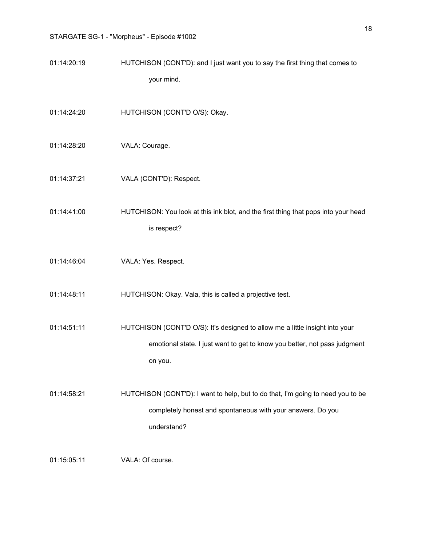| 01:14:20:19 | HUTCHISON (CONT'D): and I just want you to say the first thing that comes to                                                                                         |
|-------------|----------------------------------------------------------------------------------------------------------------------------------------------------------------------|
|             | your mind.                                                                                                                                                           |
| 01:14:24:20 | HUTCHISON (CONT'D O/S): Okay.                                                                                                                                        |
| 01:14:28:20 | VALA: Courage.                                                                                                                                                       |
| 01:14:37:21 | VALA (CONT'D): Respect.                                                                                                                                              |
| 01:14:41:00 | HUTCHISON: You look at this ink blot, and the first thing that pops into your head<br>is respect?                                                                    |
| 01:14:46:04 | VALA: Yes. Respect.                                                                                                                                                  |
| 01:14:48:11 | HUTCHISON: Okay. Vala, this is called a projective test.                                                                                                             |
| 01:14:51:11 | HUTCHISON (CONT'D O/S): It's designed to allow me a little insight into your<br>emotional state. I just want to get to know you better, not pass judgment<br>on you. |
| 01:14:58:21 | HUTCHISON (CONT'D): I want to help, but to do that, I'm going to need you to be<br>completely honest and spontaneous with your answers. Do you<br>understand?        |
| 01:15:05:11 | VALA: Of course.                                                                                                                                                     |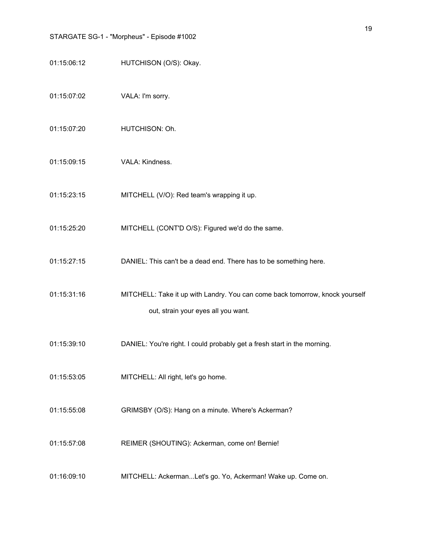- 01:15:06:12 HUTCHISON (O/S): Okay.
- 01:15:07:02 VALA: I'm sorry.
- 01:15:07:20 HUTCHISON: Oh.
- 01:15:09:15 VALA: Kindness.
- 01:15:23:15 MITCHELL (V/O): Red team's wrapping it up.
- 01:15:25:20 MITCHELL (CONT'D O/S): Figured we'd do the same.
- 01:15:27:15 DANIEL: This can't be a dead end. There has to be something here.
- 01:15:31:16 MITCHELL: Take it up with Landry. You can come back tomorrow, knock yourself out, strain your eyes all you want.
- 01:15:39:10 DANIEL: You're right. I could probably get a fresh start in the morning.
- 01:15:53:05 MITCHELL: All right, let's go home.
- 01:15:55:08 GRIMSBY (O/S): Hang on a minute. Where's Ackerman?
- 01:15:57:08 REIMER (SHOUTING): Ackerman, come on! Bernie!
- 01:16:09:10 MITCHELL: Ackerman...Let's go. Yo, Ackerman! Wake up. Come on.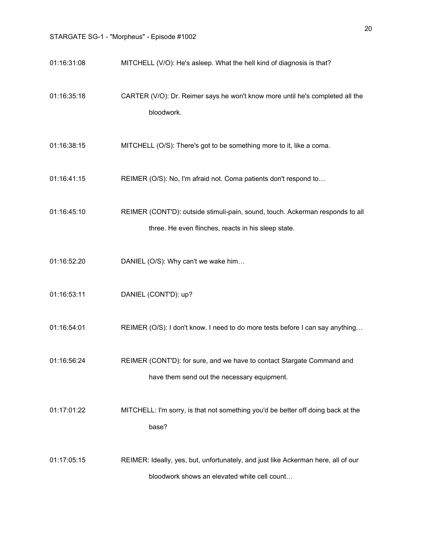| 01:16:31:08 | MITCHELL (V/O): He's asleep. What the hell kind of diagnosis is that?                                                                |
|-------------|--------------------------------------------------------------------------------------------------------------------------------------|
| 01:16:35:18 | CARTER (V/O): Dr. Reimer says he won't know more until he's completed all the<br>bloodwork.                                          |
| 01:16:38:15 | MITCHELL (O/S): There's got to be something more to it, like a coma.                                                                 |
| 01:16:41:15 | REIMER (O/S): No, I'm afraid not. Coma patients don't respond to                                                                     |
| 01:16:45:10 | REIMER (CONT'D): outside stimuli-pain, sound, touch. Ackerman responds to all<br>three. He even flinches, reacts in his sleep state. |
| 01:16:52:20 | DANIEL (O/S): Why can't we wake him                                                                                                  |
| 01:16:53:11 | DANIEL (CONT'D): up?                                                                                                                 |
| 01:16:54:01 | REIMER (O/S): I don't know. I need to do more tests before I can say anything                                                        |
| 01:16:56:24 | REIMER (CONT'D): for sure, and we have to contact Stargate Command and<br>have them send out the necessary equipment.                |
| 01:17:01:22 | MITCHELL: I'm sorry, is that not something you'd be better off doing back at the<br>base?                                            |
| 01:17:05:15 | REIMER: Ideally, yes, but, unfortunately, and just like Ackerman here, all of our<br>bloodwork shows an elevated white cell count    |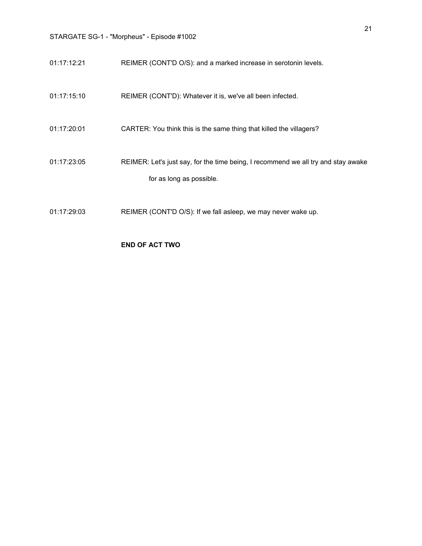| 01:17:12:21 | REIMER (CONT'D O/S): and a marked increase in serotonin levels.                                               |
|-------------|---------------------------------------------------------------------------------------------------------------|
| 01:17:15:10 | REIMER (CONT'D): Whatever it is, we've all been infected.                                                     |
| 01:17:20:01 | CARTER: You think this is the same thing that killed the villagers?                                           |
| 01:17:23:05 | REIMER: Let's just say, for the time being, I recommend we all try and stay awake<br>for as long as possible. |
| 01:17:29:03 | REIMER (CONT'D O/S): If we fall asleep, we may never wake up.                                                 |

## **END OF ACT TWO**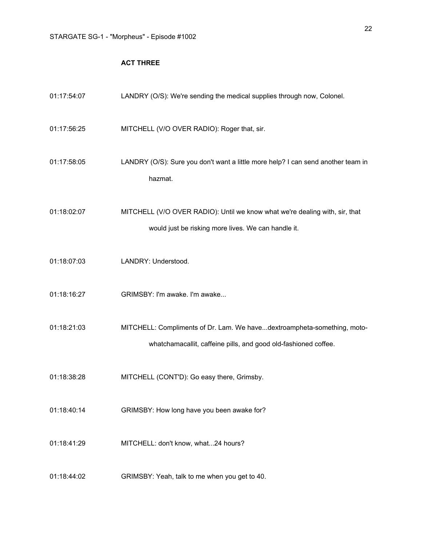### **ACT THREE**

| 01:17:54:07 | LANDRY (O/S): We're sending the medical supplies through now, Colonel.                                                                     |
|-------------|--------------------------------------------------------------------------------------------------------------------------------------------|
| 01:17:56:25 | MITCHELL (V/O OVER RADIO): Roger that, sir.                                                                                                |
| 01:17:58:05 | LANDRY (O/S): Sure you don't want a little more help? I can send another team in<br>hazmat.                                                |
| 01:18:02:07 | MITCHELL (V/O OVER RADIO): Until we know what we're dealing with, sir, that<br>would just be risking more lives. We can handle it.         |
| 01:18:07:03 | LANDRY: Understood.                                                                                                                        |
| 01:18:16:27 | GRIMSBY: I'm awake. I'm awake                                                                                                              |
| 01:18:21:03 | MITCHELL: Compliments of Dr. Lam. We havedextroampheta-something, moto-<br>whatchamacallit, caffeine pills, and good old-fashioned coffee. |
| 01:18:38:28 | MITCHELL (CONT'D): Go easy there, Grimsby.                                                                                                 |
| 01:18:40:14 | GRIMSBY: How long have you been awake for?                                                                                                 |
| 01:18:41:29 | MITCHELL: don't know, what24 hours?                                                                                                        |
| 01:18:44:02 | GRIMSBY: Yeah, talk to me when you get to 40.                                                                                              |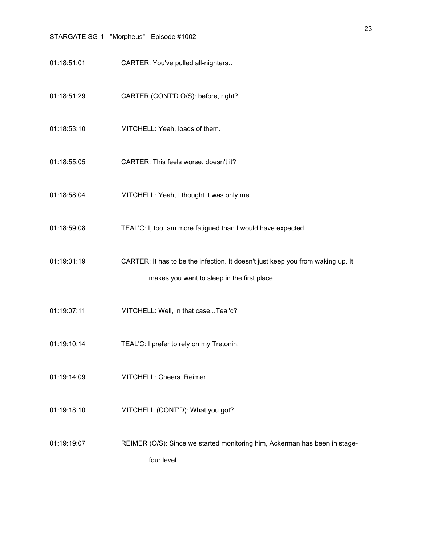- 01:18:51:01 CARTER: You've pulled all-nighters...
- 01:18:51:29 CARTER (CONT'D O/S): before, right?
- 01:18:53:10 MITCHELL: Yeah, loads of them.
- 01:18:55:05 CARTER: This feels worse, doesn't it?
- 01:18:58:04 MITCHELL: Yeah, I thought it was only me.
- 01:18:59:08 TEAL'C: I, too, am more fatigued than I would have expected.
- 01:19:01:19 CARTER: It has to be the infection. It doesn't just keep you from waking up. It makes you want to sleep in the first place.
- 01:19:07:11 MITCHELL: Well, in that case...Teal'c?
- 01:19:10:14 TEAL'C: I prefer to rely on my Tretonin.
- 01:19:14:09 MITCHELL: Cheers. Reimer...
- 01:19:18:10 MITCHELL (CONT'D): What you got?
- 01:19:19:07 REIMER (O/S): Since we started monitoring him, Ackerman has been in stagefour level…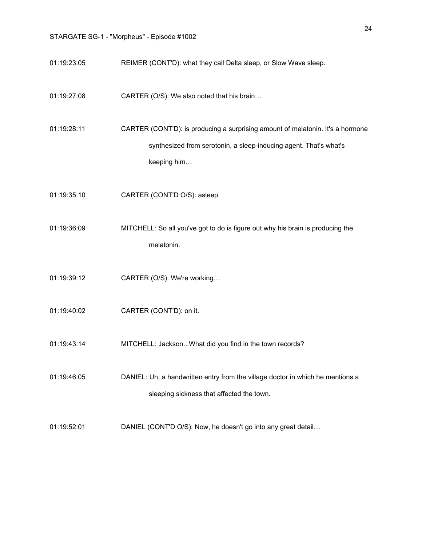01:19:23:05 REIMER (CONT'D): what they call Delta sleep, or Slow Wave sleep.

01:19:27:08 CARTER (O/S): We also noted that his brain…

01:19:28:11 CARTER (CONT'D): is producing a surprising amount of melatonin. It's a hormone synthesized from serotonin, a sleep-inducing agent. That's what's keeping him…

- 01:19:35:10 CARTER (CONT'D O/S): asleep.
- 01:19:36:09 MITCHELL: So all you've got to do is figure out why his brain is producing the melatonin.
- 01:19:39:12 CARTER (O/S): We're working…
- 01:19:40:02 CARTER (CONT'D): on it.
- 01:19:43:14 MITCHELL: Jackson...What did you find in the town records?

01:19:46:05 DANIEL: Uh, a handwritten entry from the village doctor in which he mentions a sleeping sickness that affected the town.

01:19:52:01 DANIEL (CONT'D O/S): Now, he doesn't go into any great detail...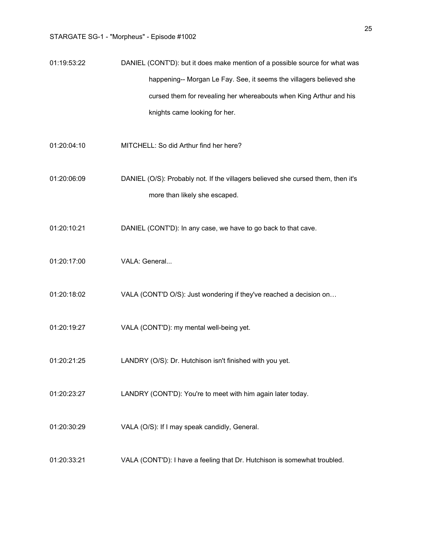- 01:19:53:22 DANIEL (CONT'D): but it does make mention of a possible source for what was happening-- Morgan Le Fay. See, it seems the villagers believed she cursed them for revealing her whereabouts when King Arthur and his knights came looking for her.
- 01:20:04:10 MITCHELL: So did Arthur find her here?
- 01:20:06:09 DANIEL (O/S): Probably not. If the villagers believed she cursed them, then it's more than likely she escaped.
- 01:20:10:21 DANIEL (CONT'D): In any case, we have to go back to that cave.
- 01:20:17:00 VALA: General...
- 01:20:18:02 VALA (CONT'D O/S): Just wondering if they've reached a decision on...
- 01:20:19:27 VALA (CONT'D): my mental well-being yet.
- 01:20:21:25 LANDRY (O/S): Dr. Hutchison isn't finished with you yet.
- 01:20:23:27 LANDRY (CONT'D): You're to meet with him again later today.
- 01:20:30:29 VALA (O/S): If I may speak candidly, General.
- 01:20:33:21 VALA (CONT'D): I have a feeling that Dr. Hutchison is somewhat troubled.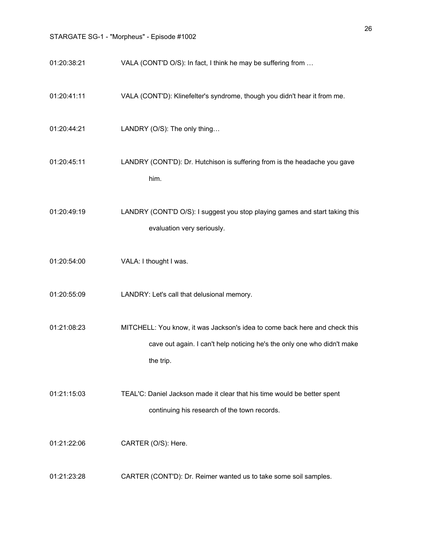- 01:20:38:21 VALA (CONT'D O/S): In fact, I think he may be suffering from ...
- 01:20:41:11 VALA (CONT'D): Klinefelter's syndrome, though you didn't hear it from me.
- 01:20:44:21 LANDRY (O/S): The only thing…
- 01:20:45:11 LANDRY (CONT'D): Dr. Hutchison is suffering from is the headache you gave him.

01:20:49:19 LANDRY (CONT'D O/S): I suggest you stop playing games and start taking this evaluation very seriously.

- 01:20:54:00 VALA: I thought I was.
- 01:20:55:09 LANDRY: Let's call that delusional memory.
- 01:21:08:23 MITCHELL: You know, it was Jackson's idea to come back here and check this cave out again. I can't help noticing he's the only one who didn't make the trip.

01:21:15:03 TEAL'C: Daniel Jackson made it clear that his time would be better spent continuing his research of the town records.

- 01:21:22:06 CARTER (O/S): Here.
- 01:21:23:28 CARTER (CONT'D): Dr. Reimer wanted us to take some soil samples.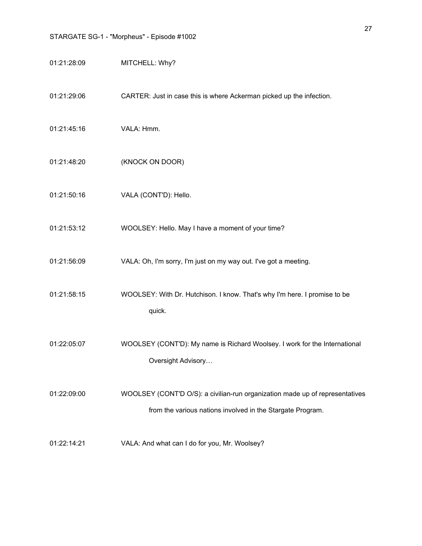01:21:28:09 MITCHELL: Why?

01:21:29:06 CARTER: Just in case this is where Ackerman picked up the infection.

- 01:21:45:16 VALA: Hmm.
- 01:21:48:20 (KNOCK ON DOOR)
- 01:21:50:16 VALA (CONT'D): Hello.
- 01:21:53:12 WOOLSEY: Hello. May I have a moment of your time?
- 01:21:56:09 VALA: Oh, I'm sorry, I'm just on my way out. I've got a meeting.
- 01:21:58:15 WOOLSEY: With Dr. Hutchison. I know. That's why I'm here. I promise to be quick.
- 01:22:05:07 WOOLSEY (CONT'D): My name is Richard Woolsey. I work for the International Oversight Advisory…
- 01:22:09:00 WOOLSEY (CONT'D O/S): a civilian-run organization made up of representatives from the various nations involved in the Stargate Program.
- 01:22:14:21 VALA: And what can I do for you, Mr. Woolsey?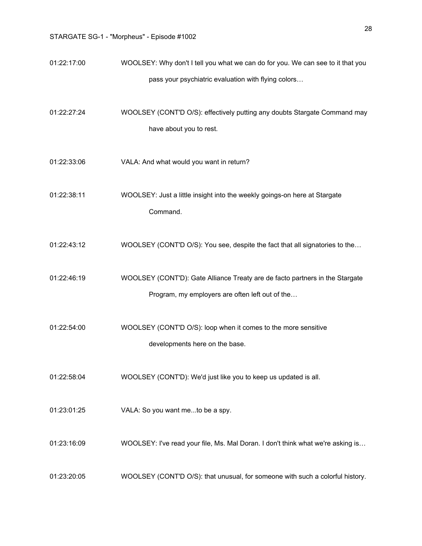01:22:17:00 WOOLSEY: Why don't I tell you what we can do for you. We can see to it that you pass your psychiatric evaluation with flying colors…

01:22:27:24 WOOLSEY (CONT'D O/S): effectively putting any doubts Stargate Command may have about you to rest.

- 01:22:33:06 VALA: And what would you want in return?
- 01:22:38:11 WOOLSEY: Just a little insight into the weekly goings-on here at Stargate Command.
- 01:22:43:12 WOOLSEY (CONT'D O/S): You see, despite the fact that all signatories to the...
- 01:22:46:19 WOOLSEY (CONT'D): Gate Alliance Treaty are de facto partners in the Stargate Program, my employers are often left out of the…
- 01:22:54:00 WOOLSEY (CONT'D O/S): loop when it comes to the more sensitive developments here on the base.
- 01:22:58:04 WOOLSEY (CONT'D): We'd just like you to keep us updated is all.
- 01:23:01:25 VALA: So you want me...to be a spy.
- 01:23:16:09 WOOLSEY: I've read your file, Ms. Mal Doran. I don't think what we're asking is...
- 01:23:20:05 WOOLSEY (CONT'D O/S): that unusual, for someone with such a colorful history.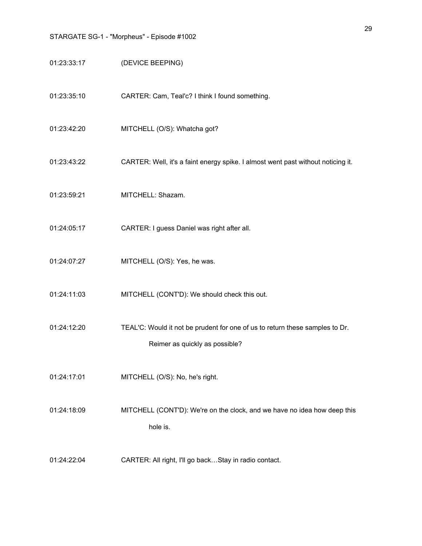- 01:23:33:17 (DEVICE BEEPING)
- 01:23:35:10 CARTER: Cam, Teal'c? I think I found something.
- 01:23:42:20 MITCHELL (O/S): Whatcha got?
- 01:23:43:22 CARTER: Well, it's a faint energy spike. I almost went past without noticing it.
- 01:23:59:21 MITCHELL: Shazam.
- 01:24:05:17 CARTER: I guess Daniel was right after all.
- 01:24:07:27 MITCHELL (O/S): Yes, he was.
- 01:24:11:03 MITCHELL (CONT'D): We should check this out.
- 01:24:12:20 TEAL'C: Would it not be prudent for one of us to return these samples to Dr. Reimer as quickly as possible?
- 01:24:17:01 MITCHELL (O/S): No, he's right.
- 01:24:18:09 MITCHELL (CONT'D): We're on the clock, and we have no idea how deep this hole is.
- 01:24:22:04 CARTER: All right, I'll go back…Stay in radio contact.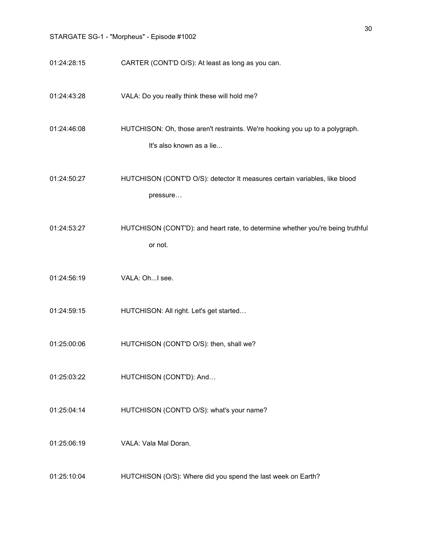- 01:24:28:15 CARTER (CONT'D O/S): At least as long as you can.
- 01:24:43:28 VALA: Do you really think these will hold me?
- 01:24:46:08 HUTCHISON: Oh, those aren't restraints. We're hooking you up to a polygraph. It's also known as a lie...
- 01:24:50:27 HUTCHISON (CONT'D O/S): detector It measures certain variables, like blood pressure…
- 01:24:53:27 HUTCHISON (CONT'D): and heart rate, to determine whether you're being truthful or not.
- 01:24:56:19 VALA: Oh...I see.
- 01:24:59:15 HUTCHISON: All right. Let's get started…
- 01:25:00:06 HUTCHISON (CONT'D O/S): then, shall we?
- 01:25:03:22 HUTCHISON (CONT'D): And…
- 01:25:04:14 HUTCHISON (CONT'D O/S): what's your name?
- 01:25:06:19 VALA: Vala Mal Doran.
- 01:25:10:04 HUTCHISON (O/S): Where did you spend the last week on Earth?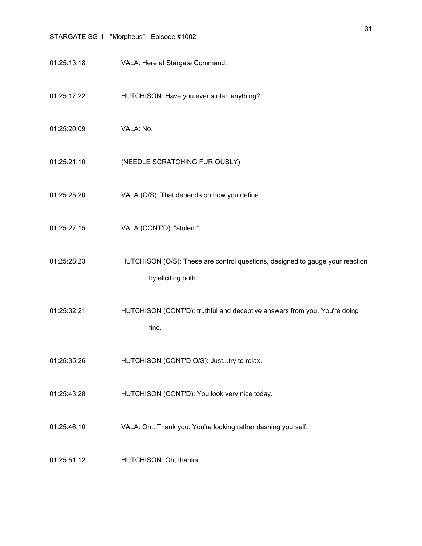- 01:25:13:18 VALA: Here at Stargate Command.
- 01:25:17:22 HUTCHISON: Have you ever stolen anything?
- 01:25:20:09 VALA: No.
- 01:25:21:10 (NEEDLE SCRATCHING FURIOUSLY)
- 01:25:25:20 VALA (O/S): That depends on how you define...
- 01:25:27:15 VALA (CONT'D): "stolen."
- 01:25:28:23 HUTCHISON (O/S): These are control questions, designed to gauge your reaction by eliciting both…
- 01:25:32:21 HUTCHISON (CONT'D): truthful and deceptive answers from you. You're doing fine.
- 01:25:35:26 HUTCHISON (CONT'D O/S): Just...try to relax.
- 01:25:43:28 HUTCHISON (CONT'D): You look very nice today.
- 01:25:46:10 VALA: Oh...Thank you. You're looking rather dashing yourself.
- 01:25:51:12 HUTCHISON: Oh, thanks.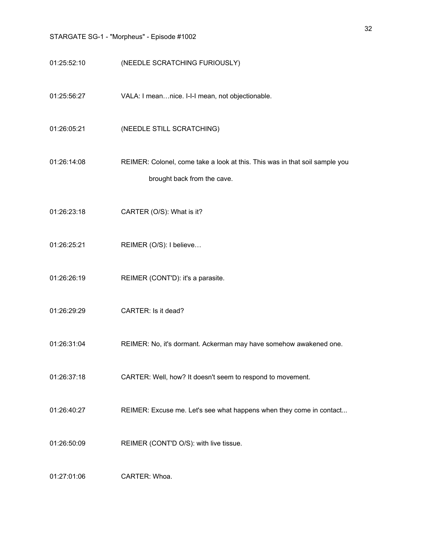- 01:25:52:10 (NEEDLE SCRATCHING FURIOUSLY)
- 01:25:56:27 VALA: I mean…nice. I-I-I mean, not objectionable.
- 01:26:05:21 (NEEDLE STILL SCRATCHING)
- 01:26:14:08 REIMER: Colonel, come take a look at this. This was in that soil sample you brought back from the cave.
- 01:26:23:18 CARTER (O/S): What is it?
- 01:26:25:21 REIMER (O/S): I believe...
- 01:26:26:19 REIMER (CONT'D): it's a parasite.
- 01:26:29:29 CARTER: Is it dead?
- 01:26:31:04 REIMER: No, it's dormant. Ackerman may have somehow awakened one.
- 01:26:37:18 CARTER: Well, how? It doesn't seem to respond to movement.
- 01:26:40:27 REIMER: Excuse me. Let's see what happens when they come in contact...
- 01:26:50:09 REIMER (CONT'D O/S): with live tissue.
- 01:27:01:06 CARTER: Whoa.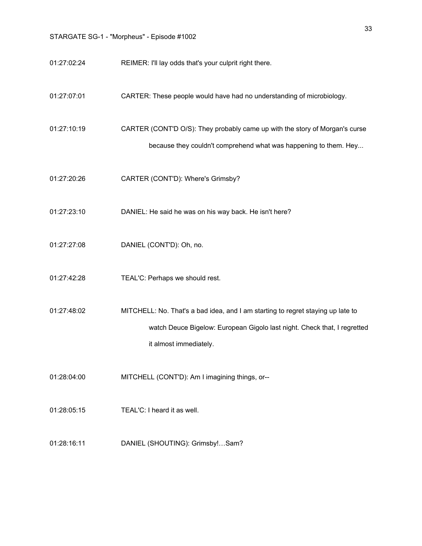- 01:27:02:24 REIMER: I'll lay odds that's your culprit right there.
- 01:27:07:01 CARTER: These people would have had no understanding of microbiology.
- 01:27:10:19 CARTER (CONT'D O/S): They probably came up with the story of Morgan's curse because they couldn't comprehend what was happening to them. Hey...
- 01:27:20:26 CARTER (CONT'D): Where's Grimsby?
- 01:27:23:10 DANIEL: He said he was on his way back. He isn't here?
- 01:27:27:08 DANIEL (CONT'D): Oh, no.
- 01:27:42:28 TEAL'C: Perhaps we should rest.
- 01:27:48:02 MITCHELL: No. That's a bad idea, and I am starting to regret staying up late to watch Deuce Bigelow: European Gigolo last night. Check that, I regretted it almost immediately.
- 01:28:04:00 MITCHELL (CONT'D): Am I imagining things, or--
- 01:28:05:15 TEAL'C: I heard it as well.
- 01:28:16:11 DANIEL (SHOUTING): Grimsby!…Sam?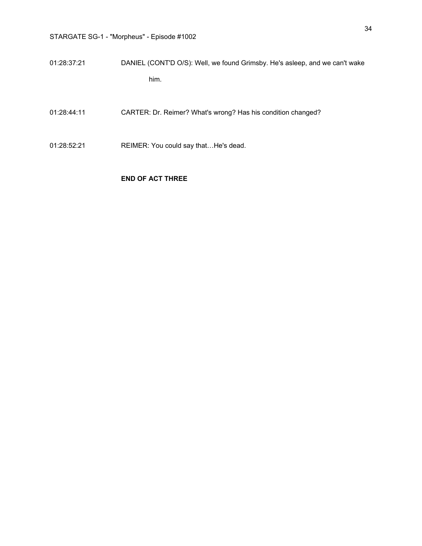| 01:28:37:21 | DANIEL (CONT'D O/S): Well, we found Grimsby. He's asleep, and we can't wake |
|-------------|-----------------------------------------------------------------------------|
|             | him.                                                                        |

- 01:28:44:11 CARTER: Dr. Reimer? What's wrong? Has his condition changed?
- 01:28:52:21 REIMER: You could say that…He's dead.

### **END OF ACT THREE**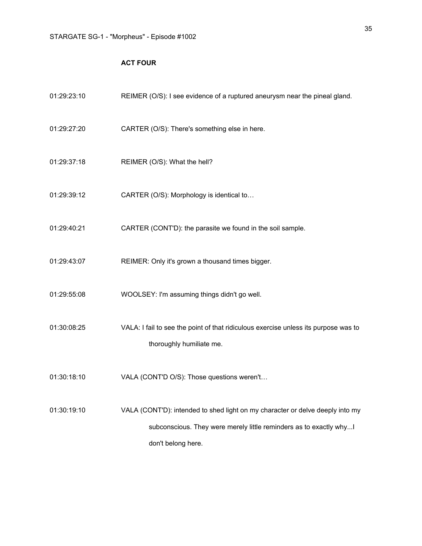## **ACT FOUR**

| 01:29:23:10 | REIMER (O/S): I see evidence of a ruptured aneurysm near the pineal gland.                                                                                               |
|-------------|--------------------------------------------------------------------------------------------------------------------------------------------------------------------------|
| 01:29:27:20 | CARTER (O/S): There's something else in here.                                                                                                                            |
| 01:29:37:18 | REIMER (O/S): What the hell?                                                                                                                                             |
| 01:29:39:12 | CARTER (O/S): Morphology is identical to                                                                                                                                 |
| 01:29:40:21 | CARTER (CONT'D): the parasite we found in the soil sample.                                                                                                               |
| 01:29:43:07 | REIMER: Only it's grown a thousand times bigger.                                                                                                                         |
| 01:29:55:08 | WOOLSEY: I'm assuming things didn't go well.                                                                                                                             |
| 01:30:08:25 | VALA: I fail to see the point of that ridiculous exercise unless its purpose was to<br>thoroughly humiliate me.                                                          |
| 01:30:18:10 | VALA (CONT'D O/S): Those questions weren't                                                                                                                               |
| 01:30:19:10 | VALA (CONT'D): intended to shed light on my character or delve deeply into my<br>subconscious. They were merely little reminders as to exactly why<br>don't belong here. |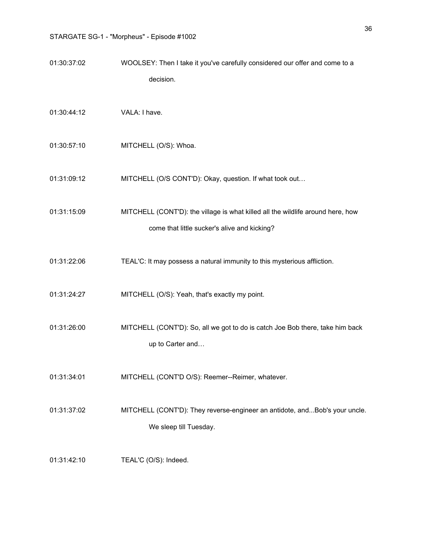| 01:30:37:02 | WOOLSEY: Then I take it you've carefully considered our offer and come to a |  |
|-------------|-----------------------------------------------------------------------------|--|
|             | decision.                                                                   |  |

- 01:30:44:12 VALA: I have.
- 01:30:57:10 MITCHELL (O/S): Whoa.
- 01:31:09:12 MITCHELL (O/S CONT'D): Okay, question. If what took out…

01:31:15:09 MITCHELL (CONT'D): the village is what killed all the wildlife around here, how come that little sucker's alive and kicking?

- 01:31:22:06 TEAL'C: It may possess a natural immunity to this mysterious affliction.
- 01:31:24:27 MITCHELL (O/S): Yeah, that's exactly my point.
- 01:31:26:00 MITCHELL (CONT'D): So, all we got to do is catch Joe Bob there, take him back up to Carter and…
- 01:31:34:01 MITCHELL (CONT'D O/S): Reemer--Reimer, whatever.

01:31:37:02 MITCHELL (CONT'D): They reverse-engineer an antidote, and...Bob's your uncle. We sleep till Tuesday.

01:31:42:10 TEAL'C (O/S): Indeed.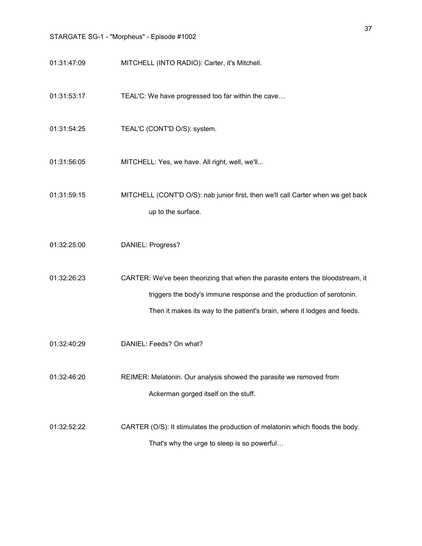- 01:31:47:09 MITCHELL (INTO RADIO): Carter, it's Mitchell.
- 01:31:53:17 TEAL'C: We have progressed too far within the cave...
- 01:31:54:25 TEAL'C (CONT'D O/S): system.
- 01:31:56:05 MITCHELL: Yes, we have. All right, well, we'll...

01:31:59:15 MITCHELL (CONT'D O/S): nab junior first, then we'll call Carter when we get back up to the surface.

01:32:25:00 DANIEL: Progress?

01:32:26:23 CARTER: We've been theorizing that when the parasite enters the bloodstream, it triggers the body's immune response and the production of serotonin. Then it makes its way to the patient's brain, where it lodges and feeds.

01:32:40:29 DANIEL: Feeds? On what?

01:32:46:20 REIMER: Melatonin. Our analysis showed the parasite we removed from Ackerman gorged itself on the stuff.

01:32:52:22 CARTER (O/S): It stimulates the production of melatonin which floods the body. That's why the urge to sleep is so powerful…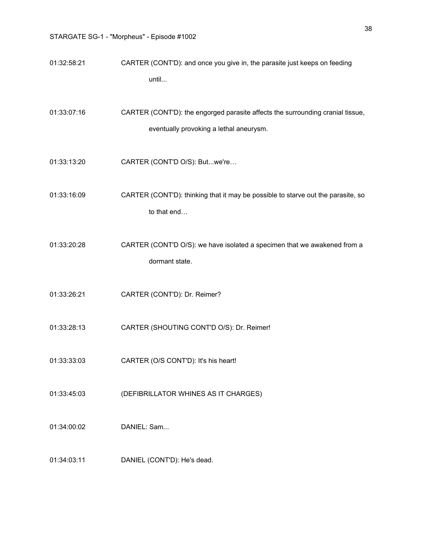01:32:58:21 CARTER (CONT'D): and once you give in, the parasite just keeps on feeding until...

01:33:07:16 CARTER (CONT'D): the engorged parasite affects the surrounding cranial tissue, eventually provoking a lethal aneurysm.

01:33:13:20 CARTER (CONT'D O/S): But...we're…

01:33:16:09 CARTER (CONT'D): thinking that it may be possible to starve out the parasite, so to that end…

01:33:20:28 CARTER (CONT'D O/S): we have isolated a specimen that we awakened from a dormant state.

- 01:33:26:21 CARTER (CONT'D): Dr. Reimer?
- 01:33:28:13 CARTER (SHOUTING CONT'D O/S): Dr. Reimer!
- 01:33:33:03 CARTER (O/S CONT'D): It's his heart!
- 01:33:45:03 (DEFIBRILLATOR WHINES AS IT CHARGES)
- 01:34:00:02 DANIEL: Sam...
- 01:34:03:11 DANIEL (CONT'D): He's dead.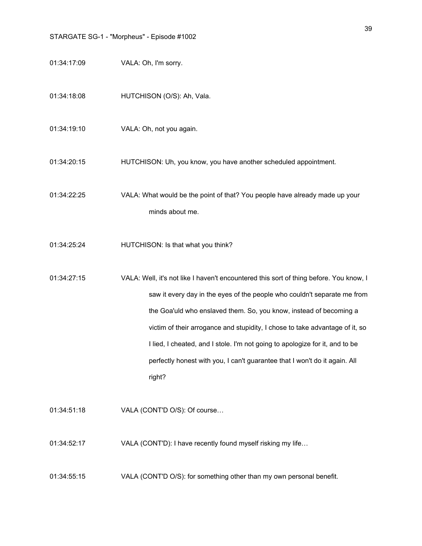- 01:34:17:09 VALA: Oh, I'm sorry.
- 01:34:18:08 HUTCHISON (O/S): Ah, Vala.
- 01:34:19:10 VALA: Oh, not you again.

01:34:20:15 HUTCHISON: Uh, you know, you have another scheduled appointment.

01:34:22:25 VALA: What would be the point of that? You people have already made up your minds about me.

- 01:34:25:24 HUTCHISON: Is that what you think?
- 01:34:27:15 VALA: Well, it's not like I haven't encountered this sort of thing before. You know, I saw it every day in the eyes of the people who couldn't separate me from the Goa'uld who enslaved them. So, you know, instead of becoming a victim of their arrogance and stupidity, I chose to take advantage of it, so I lied, I cheated, and I stole. I'm not going to apologize for it, and to be perfectly honest with you, I can't guarantee that I won't do it again. All right?
- 01:34:51:18 VALA (CONT'D O/S): Of course…
- 01:34:52:17 VALA (CONT'D): I have recently found myself risking my life...
- 01:34:55:15 VALA (CONT'D O/S): for something other than my own personal benefit.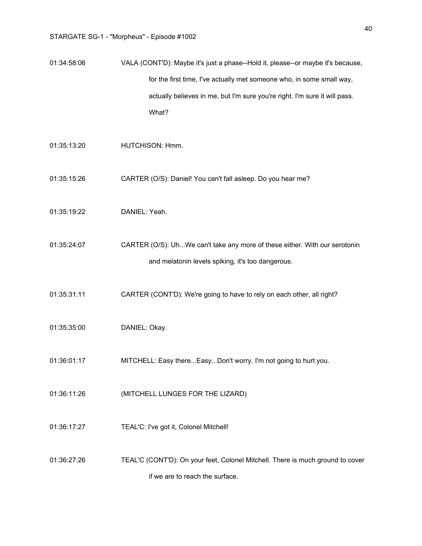| 01:34:58:06 | VALA (CONT'D): Maybe it's just a phase--Hold it, please--or maybe it's because, |
|-------------|---------------------------------------------------------------------------------|
|             | for the first time, I've actually met someone who, in some small way,           |
|             | actually believes in me, but I'm sure you're right. I'm sure it will pass.      |
|             | What?                                                                           |

- 01:35:13:20 HUTCHISON: Hmm.
- 01:35:15:26 CARTER (O/S): Daniel! You can't fall asleep. Do you hear me?
- 01:35:19:22 DANIEL: Yeah.
- 01:35:24:07 CARTER (O/S): Uh...We can't take any more of these either. With our serotonin and melatonin levels spiking, it's too dangerous.
- 01:35:31:11 CARTER (CONT'D): We're going to have to rely on each other, all right?
- 01:35:35:00 DANIEL: Okay.
- 01:36:01:17 MITCHELL: Easy there...Easy...Don't worry. I'm not going to hurt you.
- 01:36:11:26 (MITCHELL LUNGES FOR THE LIZARD)
- 01:36:17:27 TEAL'C: I've got it, Colonel Mitchell!
- 01:36:27:26 TEAL'C (CONT'D): On your feet, Colonel Mitchell. There is much ground to cover if we are to reach the surface.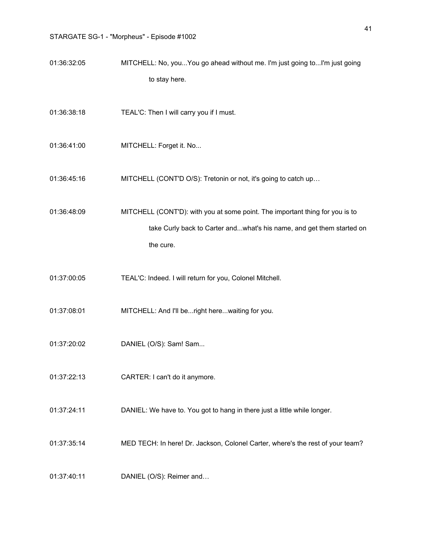01:36:32:05 MITCHELL: No, you...You go ahead without me. I'm just going to...I'm just going to stay here.

- 01:36:38:18 TEAL'C: Then I will carry you if I must.
- 01:36:41:00 MITCHELL: Forget it. No...
- 01:36:45:16 MITCHELL (CONT'D O/S): Tretonin or not, it's going to catch up...

01:36:48:09 MITCHELL (CONT'D): with you at some point. The important thing for you is to take Curly back to Carter and...what's his name, and get them started on the cure.

- 01:37:00:05 TEAL'C: Indeed. I will return for you, Colonel Mitchell.
- 01:37:08:01 MITCHELL: And I'll be...right here...waiting for you.
- 01:37:20:02 DANIEL (O/S): Sam! Sam...
- 01:37:22:13 CARTER: I can't do it anymore.
- 01:37:24:11 DANIEL: We have to. You got to hang in there just a little while longer.
- 01:37:35:14 MED TECH: In here! Dr. Jackson, Colonel Carter, where's the rest of your team?
- 01:37:40:11 DANIEL (O/S): Reimer and...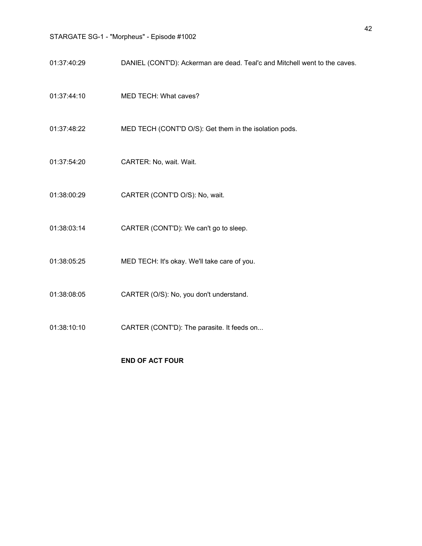- 01:37:40:29 DANIEL (CONT'D): Ackerman are dead. Teal'c and Mitchell went to the caves.
- 01:37:44:10 MED TECH: What caves?
- 01:37:48:22 MED TECH (CONT'D O/S): Get them in the isolation pods.
- 01:37:54:20 CARTER: No, wait. Wait.
- 01:38:00:29 CARTER (CONT'D O/S): No, wait.
- 01:38:03:14 CARTER (CONT'D): We can't go to sleep.
- 01:38:05:25 MED TECH: It's okay. We'll take care of you.
- 01:38:08:05 CARTER (O/S): No, you don't understand.
- 01:38:10:10 CARTER (CONT'D): The parasite. It feeds on...

**END OF ACT FOUR**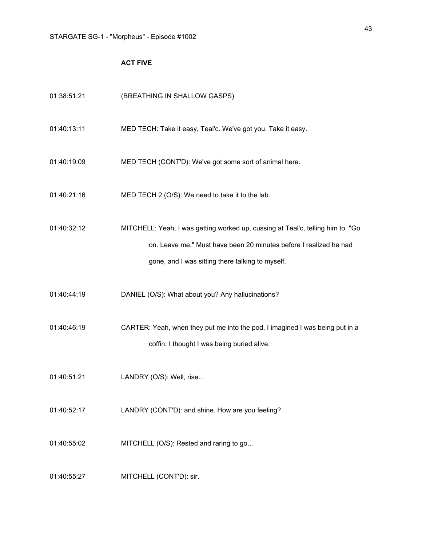## **ACT FIVE**

| 01:38:51:21 | (BREATHING IN SHALLOW GASPS)                                                                                                                                                                             |
|-------------|----------------------------------------------------------------------------------------------------------------------------------------------------------------------------------------------------------|
| 01:40:13:11 | MED TECH: Take it easy, Teal'c. We've got you. Take it easy.                                                                                                                                             |
| 01:40:19:09 | MED TECH (CONT'D): We've got some sort of animal here.                                                                                                                                                   |
| 01:40:21:16 | MED TECH 2 (O/S): We need to take it to the lab.                                                                                                                                                         |
| 01:40:32:12 | MITCHELL: Yeah, I was getting worked up, cussing at Teal'c, telling him to, "Go<br>on. Leave me." Must have been 20 minutes before I realized he had<br>gone, and I was sitting there talking to myself. |
| 01:40:44:19 | DANIEL (O/S): What about you? Any hallucinations?                                                                                                                                                        |
| 01:40:46:19 | CARTER: Yeah, when they put me into the pod, I imagined I was being put in a<br>coffin. I thought I was being buried alive.                                                                              |
| 01:40:51:21 | LANDRY (O/S): Well, rise                                                                                                                                                                                 |
| 01:40:52:17 | LANDRY (CONT'D): and shine. How are you feeling?                                                                                                                                                         |
| 01:40:55:02 | MITCHELL (O/S): Rested and raring to go                                                                                                                                                                  |
| 01:40:55:27 | MITCHELL (CONT'D): sir.                                                                                                                                                                                  |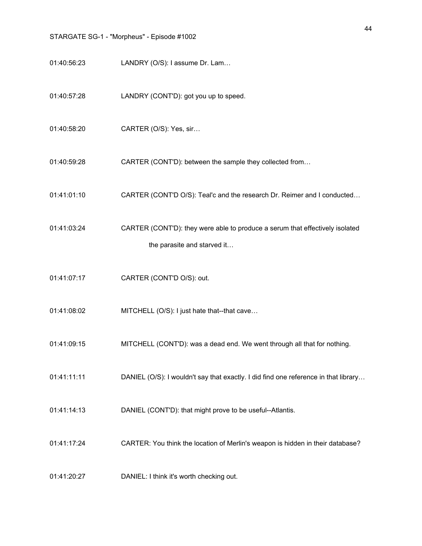- 01:40:56:23 LANDRY (O/S): I assume Dr. Lam…
- 01:40:57:28 LANDRY (CONT'D): got you up to speed.
- 01:40:58:20 CARTER (O/S): Yes, sir…
- 01:40:59:28 CARTER (CONT'D): between the sample they collected from…
- 01:41:01:10 CARTER (CONT'D O/S): Teal'c and the research Dr. Reimer and I conducted…
- 01:41:03:24 CARTER (CONT'D): they were able to produce a serum that effectively isolated the parasite and starved it…
- 01:41:07:17 CARTER (CONT'D O/S): out.
- 01:41:08:02 MITCHELL (O/S): I just hate that--that cave...
- 01:41:09:15 MITCHELL (CONT'D): was a dead end. We went through all that for nothing.
- 01:41:11:11 DANIEL (O/S): I wouldn't say that exactly. I did find one reference in that library...
- 01:41:14:13 DANIEL (CONT'D): that might prove to be useful--Atlantis.
- 01:41:17:24 CARTER: You think the location of Merlin's weapon is hidden in their database?
- 01:41:20:27 DANIEL: I think it's worth checking out.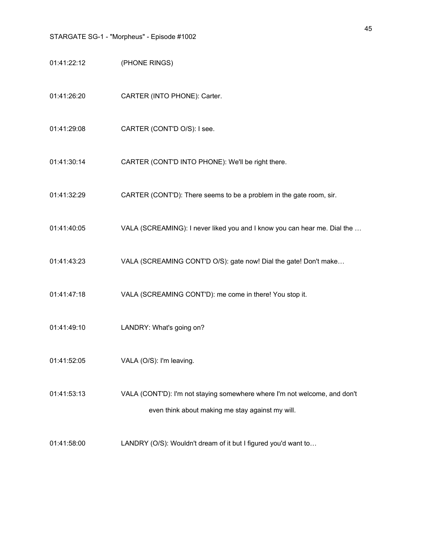- 01:41:22:12 (PHONE RINGS)
- 01:41:26:20 CARTER (INTO PHONE): Carter.
- 01:41:29:08 CARTER (CONT'D O/S): I see.
- 01:41:30:14 CARTER (CONT'D INTO PHONE): We'll be right there.
- 01:41:32:29 CARTER (CONT'D): There seems to be a problem in the gate room, sir.
- 01:41:40:05 VALA (SCREAMING): I never liked you and I know you can hear me. Dial the …
- 01:41:43:23 VALA (SCREAMING CONT'D O/S): gate now! Dial the gate! Don't make…
- 01:41:47:18 VALA (SCREAMING CONT'D): me come in there! You stop it.
- 01:41:49:10 LANDRY: What's going on?
- 01:41:52:05 VALA (O/S): I'm leaving.
- 01:41:53:13 VALA (CONT'D): I'm not staying somewhere where I'm not welcome, and don't even think about making me stay against my will.
- 01:41:58:00 LANDRY (O/S): Wouldn't dream of it but I figured you'd want to...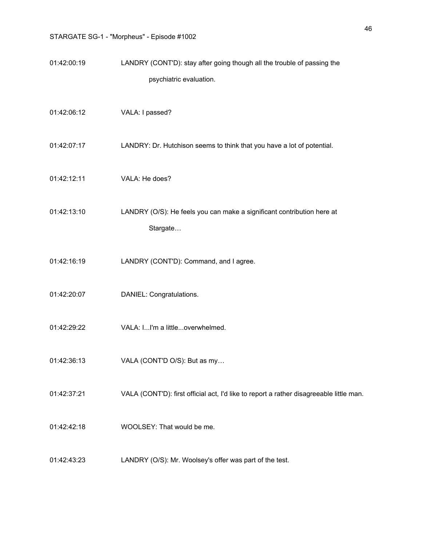01:42:00:19 LANDRY (CONT'D): stay after going though all the trouble of passing the psychiatric evaluation.

- 01:42:06:12 VALA: I passed?
- 01:42:07:17 LANDRY: Dr. Hutchison seems to think that you have a lot of potential.
- 01:42:12:11 VALA: He does?
- 01:42:13:10 LANDRY (O/S): He feels you can make a significant contribution here at Stargate…
- 01:42:16:19 LANDRY (CONT'D): Command, and I agree.
- 01:42:20:07 DANIEL: Congratulations.
- 01:42:29:22 VALA: I...I'm a little...overwhelmed.
- 01:42:36:13 VALA (CONT'D O/S): But as my…
- 01:42:37:21 VALA (CONT'D): first official act, I'd like to report a rather disagreeable little man.
- 01:42:42:18 WOOLSEY: That would be me.
- 01:42:43:23 LANDRY (O/S): Mr. Woolsey's offer was part of the test.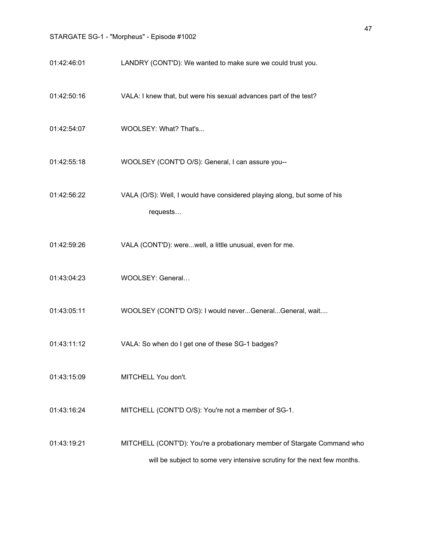- 01:42:46:01 LANDRY (CONT'D): We wanted to make sure we could trust you.
- 01:42:50:16 VALA: I knew that, but were his sexual advances part of the test?
- 01:42:54:07 WOOLSEY: What? That's...
- 01:42:55:18 WOOLSEY (CONT'D O/S): General, I can assure you--
- 01:42:56:22 VALA (O/S): Well, I would have considered playing along, but some of his requests…
- 01:42:59:26 VALA (CONT'D): were...well, a little unusual, even for me.
- 01:43:04:23 WOOLSEY: General…
- 01:43:05:11 WOOLSEY (CONT'D O/S): I would never...General...General, wait....
- 01:43:11:12 VALA: So when do I get one of these SG-1 badges?
- 01:43:15:09 MITCHELL You don't.
- 01:43:16:24 MITCHELL (CONT'D O/S): You're not a member of SG-1.
- 01:43:19:21 MITCHELL (CONT'D): You're a probationary member of Stargate Command who will be subject to some very intensive scrutiny for the next few months.